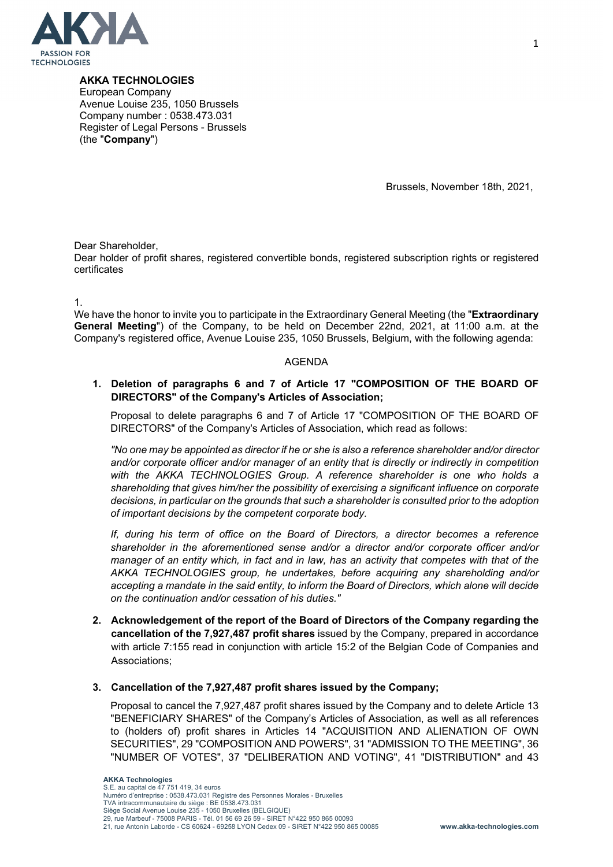

**AKKA TECHNOLOGIES**

European Company Avenue Louise 235, 1050 Brussels Company number : 0538.473.031 Register of Legal Persons - Brussels (the "**Company**")

Brussels, November 18th, 2021,

Dear Shareholder,

Dear holder of profit shares, registered convertible bonds, registered subscription rights or registered certificates

1.

We have the honor to invite you to participate in the Extraordinary General Meeting (the "**Extraordinary General Meeting**") of the Company, to be held on December 22nd, 2021, at 11:00 a.m. at the Company's registered office, Avenue Louise 235, 1050 Brussels, Belgium, with the following agenda:

# AGENDA

# **1. Deletion of paragraphs 6 and 7 of Article 17 "COMPOSITION OF THE BOARD OF DIRECTORS" of the Company's Articles of Association;**

Proposal to delete paragraphs 6 and 7 of Article 17 "COMPOSITION OF THE BOARD OF DIRECTORS" of the Company's Articles of Association, which read as follows:

*"No one may be appointed as director if he or she is also a reference shareholder and/or director and/or corporate officer and/or manager of an entity that is directly or indirectly in competition with the AKKA TECHNOLOGIES Group. A reference shareholder is one who holds a shareholding that gives him/her the possibility of exercising a significant influence on corporate decisions, in particular on the grounds that such a shareholder is consulted prior to the adoption of important decisions by the competent corporate body.* 

*If, during his term of office on the Board of Directors, a director becomes a reference shareholder in the aforementioned sense and/or a director and/or corporate officer and/or manager of an entity which, in fact and in law, has an activity that competes with that of the AKKA TECHNOLOGIES group, he undertakes, before acquiring any shareholding and/or accepting a mandate in the said entity, to inform the Board of Directors, which alone will decide on the continuation and/or cessation of his duties."* 

**2. Acknowledgement of the report of the Board of Directors of the Company regarding the cancellation of the 7,927,487 profit shares** issued by the Company, prepared in accordance with article 7:155 read in conjunction with article 15:2 of the Belgian Code of Companies and Associations;

# **3. Cancellation of the 7,927,487 profit shares issued by the Company;**

Proposal to cancel the 7,927,487 profit shares issued by the Company and to delete Article 13 "BENEFICIARY SHARES" of the Company's Articles of Association, as well as all references to (holders of) profit shares in Articles 14 "ACQUISITION AND ALIENATION OF OWN SECURITIES", 29 "COMPOSITION AND POWERS", 31 "ADMISSION TO THE MEETING", 36 "NUMBER OF VOTES", 37 "DELIBERATION AND VOTING", 41 "DISTRIBUTION" and 43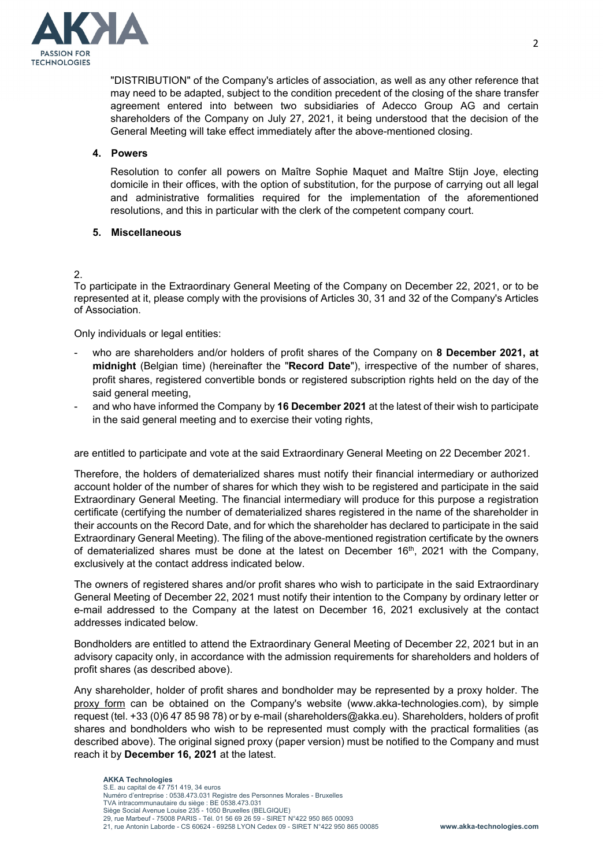

"DISTRIBUTION" of the Company's articles of association, as well as any other reference that may need to be adapted, subject to the condition precedent of the closing of the share transfer agreement entered into between two subsidiaries of Adecco Group AG and certain shareholders of the Company on July 27, 2021, it being understood that the decision of the General Meeting will take effect immediately after the above-mentioned closing.

## **4. Powers**

Resolution to confer all powers on Maître Sophie Maquet and Maître Stijn Joye, electing domicile in their offices, with the option of substitution, for the purpose of carrying out all legal and administrative formalities required for the implementation of the aforementioned resolutions, and this in particular with the clerk of the competent company court.

## **5. Miscellaneous**

## 2.

To participate in the Extraordinary General Meeting of the Company on December 22, 2021, or to be represented at it, please comply with the provisions of Articles 30, 31 and 32 of the Company's Articles of Association.

Only individuals or legal entities:

- who are shareholders and/or holders of profit shares of the Company on **8 December 2021, at midnight** (Belgian time) (hereinafter the "**Record Date**"), irrespective of the number of shares, profit shares, registered convertible bonds or registered subscription rights held on the day of the said general meeting,
- and who have informed the Company by **16 December 2021** at the latest of their wish to participate in the said general meeting and to exercise their voting rights,

are entitled to participate and vote at the said Extraordinary General Meeting on 22 December 2021.

Therefore, the holders of dematerialized shares must notify their financial intermediary or authorized account holder of the number of shares for which they wish to be registered and participate in the said Extraordinary General Meeting. The financial intermediary will produce for this purpose a registration certificate (certifying the number of dematerialized shares registered in the name of the shareholder in their accounts on the Record Date, and for which the shareholder has declared to participate in the said Extraordinary General Meeting). The filing of the above-mentioned registration certificate by the owners of dematerialized shares must be done at the latest on December  $16<sup>th</sup>$ , 2021 with the Company, exclusively at the contact address indicated below.

The owners of registered shares and/or profit shares who wish to participate in the said Extraordinary General Meeting of December 22, 2021 must notify their intention to the Company by ordinary letter or e-mail addressed to the Company at the latest on December 16, 2021 exclusively at the contact addresses indicated below.

Bondholders are entitled to attend the Extraordinary General Meeting of December 22, 2021 but in an advisory capacity only, in accordance with the admission requirements for shareholders and holders of profit shares (as described above).

Any shareholder, holder of profit shares and bondholder may be represented by a proxy holder. The proxy form can be obtained on the Company's website (www.akka-technologies.com), by simple request (tel. +33 (0)6 47 85 98 78) or by e-mail (shareholders@akka.eu). Shareholders, holders of profit shares and bondholders who wish to be represented must comply with the practical formalities (as described above). The original signed proxy (paper version) must be notified to the Company and must reach it by **December 16, 2021** at the latest.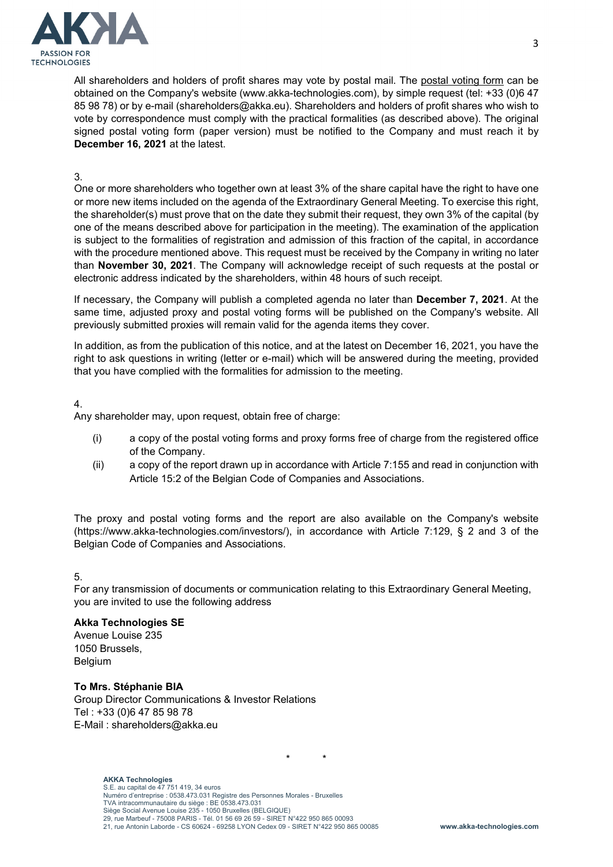

All shareholders and holders of profit shares may vote by postal mail. The postal voting form can be obtained on the Company's website (www.akka-technologies.com), by simple request (tel: +33 (0)6 47 85 98 78) or by e-mail (shareholders@akka.eu). Shareholders and holders of profit shares who wish to vote by correspondence must comply with the practical formalities (as described above). The original signed postal voting form (paper version) must be notified to the Company and must reach it by **December 16, 2021** at the latest.

## 3.

One or more shareholders who together own at least 3% of the share capital have the right to have one or more new items included on the agenda of the Extraordinary General Meeting. To exercise this right, the shareholder(s) must prove that on the date they submit their request, they own 3% of the capital (by one of the means described above for participation in the meeting). The examination of the application is subject to the formalities of registration and admission of this fraction of the capital, in accordance with the procedure mentioned above. This request must be received by the Company in writing no later than **November 30, 2021**. The Company will acknowledge receipt of such requests at the postal or electronic address indicated by the shareholders, within 48 hours of such receipt.

If necessary, the Company will publish a completed agenda no later than **December 7, 2021**. At the same time, adjusted proxy and postal voting forms will be published on the Company's website. All previously submitted proxies will remain valid for the agenda items they cover.

In addition, as from the publication of this notice, and at the latest on December 16, 2021, you have the right to ask questions in writing (letter or e-mail) which will be answered during the meeting, provided that you have complied with the formalities for admission to the meeting.

#### 4.

Any shareholder may, upon request, obtain free of charge:

- (i) a copy of the postal voting forms and proxy forms free of charge from the registered office of the Company.
- (ii) a copy of the report drawn up in accordance with Article 7:155 and read in conjunction with Article 15:2 of the Belgian Code of Companies and Associations.

The proxy and postal voting forms and the report are also available on the Company's website (https://www.akka-technologies.com/investors/), in accordance with Article 7:129, § 2 and 3 of the Belgian Code of Companies and Associations.

# 5.

For any transmission of documents or communication relating to this Extraordinary General Meeting, you are invited to use the following address

\* \*

# **Akka Technologies SE**

Avenue Louise 235 1050 Brussels, Belgium

#### **To Mrs. Stéphanie BIA**

Group Director Communications & Investor Relations Tel : +33 (0)6 47 85 98 78 E-Mail : shareholders@akka.eu

#### **AKKA Technologies**

S.E. au capital de 47 751 419, 34 euros Numéro d'entreprise : 0538.473.031 Registre des Personnes Morales - Bruxelles TVA intracommunautaire du siège : BE 0538.473.031 Siège Social Avenue Louise 235 - 1050 Bruxelles (BELGIQUE) 29, rue Marbeuf - 75008 PARIS - Tél. 01 56 69 26 59 - SIRET N°422 950 865 00093 21, rue Antonin Laborde - CS 60624 - 69258 LYON Cedex 09 - SIRET N°422 950 865 00085 **www.akka-technologies.com**